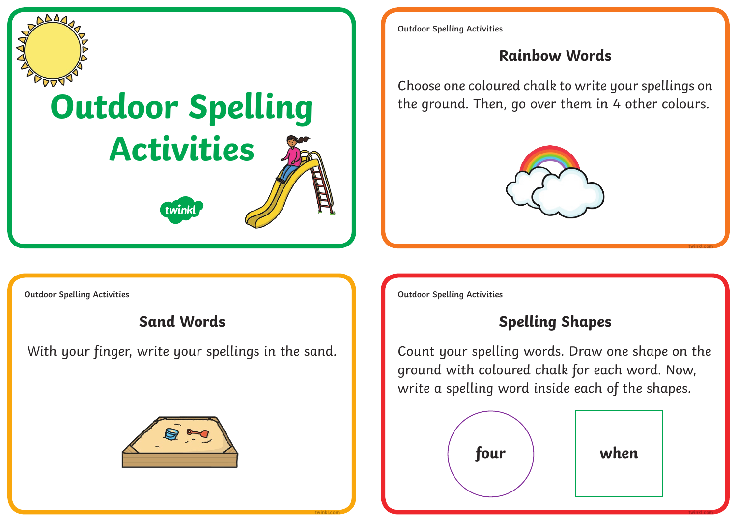

# **Outdoor Spelling Activities**

**twink** 

**Outdoor Spelling Activities**

### **Rainbow Words**

Choose one coloured chalk to write your spellings on the ground. Then, go over them in 4 other colours.



**twinkl.com**

**Outdoor Spelling Activities Outdoor Spelling Activities**



# **Sand Words Sand Words Spelling Shapes**

With your finger, write your spellings in the sand.  $\|\cdot\|$  Count your spelling words. Draw one shape on the ground with coloured chalk for each word. Now, write a spelling word inside each of the shapes.



**twinkl.com twinkl.com**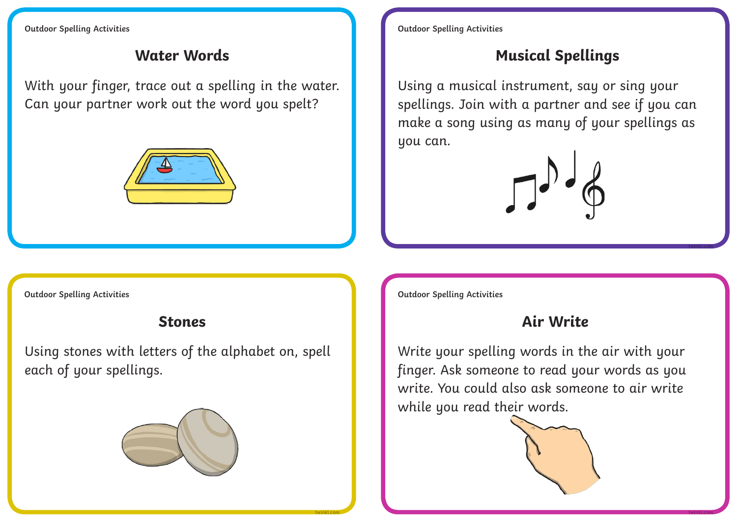With your finger, trace out a spelling in the water. Can your partner work out the word you spelt?



**Outdoor Spelling Activities Outdoor Spelling Activities**

# **Water Words Musical Spellings**

Using a musical instrument, say or sing your spellings. Join with a partner and see if you can make a song using as many of your spellings as you can.



Using stones with letters of the alphabet on, spell each of your spellings.



**Outdoor Spelling Activities Outdoor Spelling Activities**

# **Stones Air Write**

**twinkl.com**

Write your spelling words in the air with your finger. Ask someone to read your words as you write. You could also ask someone to air write while you read their words.



**twinkl.com twinkl.com**